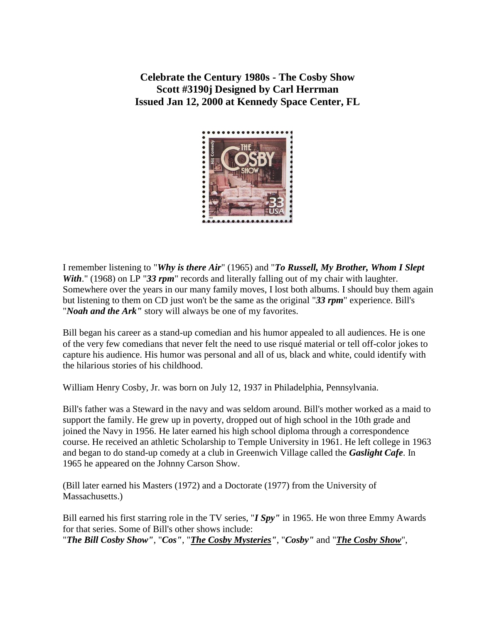**Celebrate the Century 1980s - The Cosby Show Scott #3190j Designed by Carl Herrman Issued Jan 12, 2000 at Kennedy Space Center, FL** 



I remember listening to "*Why is there Air*" (1965) and "*To Russell, My Brother, Whom I Slept With*." (1968) on LP "33 rpm" records and literally falling out of my chair with laughter. Somewhere over the years in our many family moves, I lost both albums. I should buy them again but listening to them on CD just won't be the same as the original "*33 rpm*" experience. Bill's "*Noah and the Ark"* story will always be one of my favorites.

Bill began his career as a stand-up comedian and his humor appealed to all audiences. He is one of the very few comedians that never felt the need to use risqué material or tell off-color jokes to capture his audience. His humor was personal and all of us, black and white, could identify with the hilarious stories of his childhood.

William Henry Cosby, Jr. was born on July 12, 1937 in Philadelphia, Pennsylvania.

Bill's father was a Steward in the navy and was seldom around. Bill's mother worked as a maid to support the family. He grew up in poverty, dropped out of high school in the 10th grade and joined the Navy in 1956. He later earned his high school diploma through a correspondence course. He received an athletic Scholarship to Temple University in 1961. He left college in 1963 and began to do stand-up comedy at a club in Greenwich Village called the *Gaslight Cafe*. In 1965 he appeared on the Johnny Carson Show.

(Bill later earned his Masters (1972) and a Doctorate (1977) from the University of Massachusetts.)

Bill earned his first starring role in the TV series, "*I Spy"* in 1965. He won three Emmy Awards for that series. Some of Bill's other shows include: "*The Bill Cosby Show"*, "*Cos"*, "*[The Cosby Mysteries"](http://www.pazsaz.com/cosmyst.html)*, "*Cosby"* and "*[The Cosby Show](http://www.mbcnet.org/ETV/C/htmlC/cosbyshowt/cosbyshowt.htm)*",